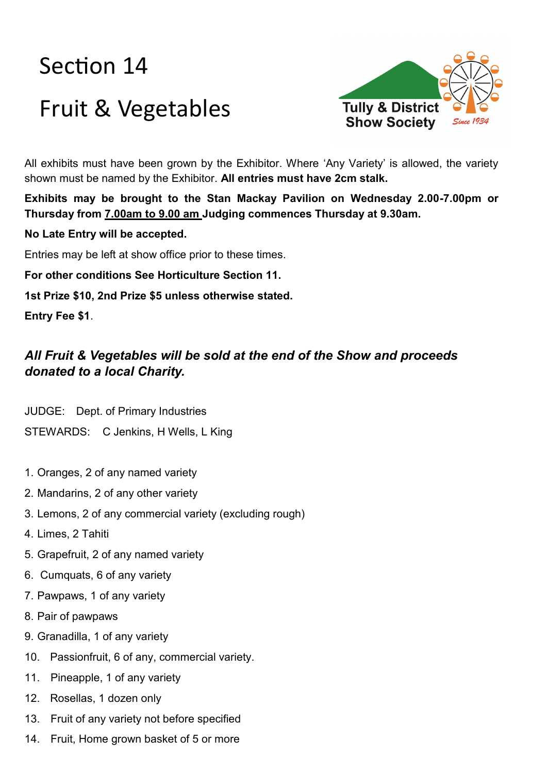# Section 14 Fruit & Vegetables



All exhibits must have been grown by the Exhibitor. Where 'Any Variety' is allowed, the variety shown must be named by the Exhibitor. **All entries must have 2cm stalk.**

**Exhibits may be brought to the Stan Mackay Pavilion on Wednesday 2.00-7.00pm or Thursday from 7.00am to 9.00 am Judging commences Thursday at 9.30am.** 

**No Late Entry will be accepted.**

Entries may be left at show office prior to these times.

**For other conditions See Horticulture Section 11.**

**1st Prize \$10, 2nd Prize \$5 unless otherwise stated.**

**Entry Fee \$1**.

## *All Fruit & Vegetables will be sold at the end of the Show and proceeds donated to a local Charity.*

JUDGE: Dept. of Primary Industries

STEWARDS: C Jenkins, H Wells, L King

- 1. Oranges, 2 of any named variety
- 2. Mandarins, 2 of any other variety
- 3. Lemons, 2 of any commercial variety (excluding rough)
- 4. Limes, 2 Tahiti
- 5. Grapefruit, 2 of any named variety
- 6. Cumquats, 6 of any variety
- 7. Pawpaws, 1 of any variety
- 8. Pair of pawpaws
- 9. Granadilla, 1 of any variety
- 10. Passionfruit, 6 of any, commercial variety.
- 11. Pineapple, 1 of any variety
- 12. Rosellas, 1 dozen only
- 13. Fruit of any variety not before specified
- 14. Fruit, Home grown basket of 5 or more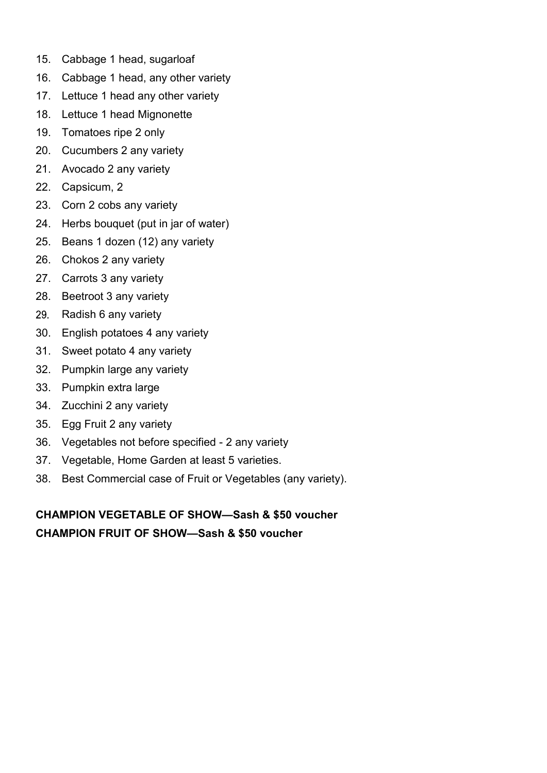- 15. Cabbage 1 head, sugarloaf
- 16. Cabbage 1 head, any other variety
- 17. Lettuce 1 head any other variety
- 18. Lettuce 1 head Mignonette
- 19. Tomatoes ripe 2 only
- 20. Cucumbers 2 any variety
- 21. Avocado 2 any variety
- 22. Capsicum, 2
- 23. Corn 2 cobs any variety
- 24. Herbs bouquet (put in jar of water)
- 25. Beans 1 dozen (12) any variety
- 26. Chokos 2 any variety
- 27. Carrots 3 any variety
- 28. Beetroot 3 any variety
- Radish 6 any variety 29.
- 30. English potatoes 4 any variety
- 31. Sweet potato 4 any variety
- 32. Pumpkin large any variety
- 33. Pumpkin extra large
- 34. Zucchini 2 any variety
- 35. Egg Fruit 2 any variety
- 36. Vegetables not before specified 2 any variety
- 37. Vegetable, Home Garden at least 5 varieties.
- 38. Best Commercial case of Fruit or Vegetables (any variety).

**CHAMPION VEGETABLE OF SHOW—Sash & \$50 voucher CHAMPION FRUIT OF SHOW—Sash & \$50 voucher**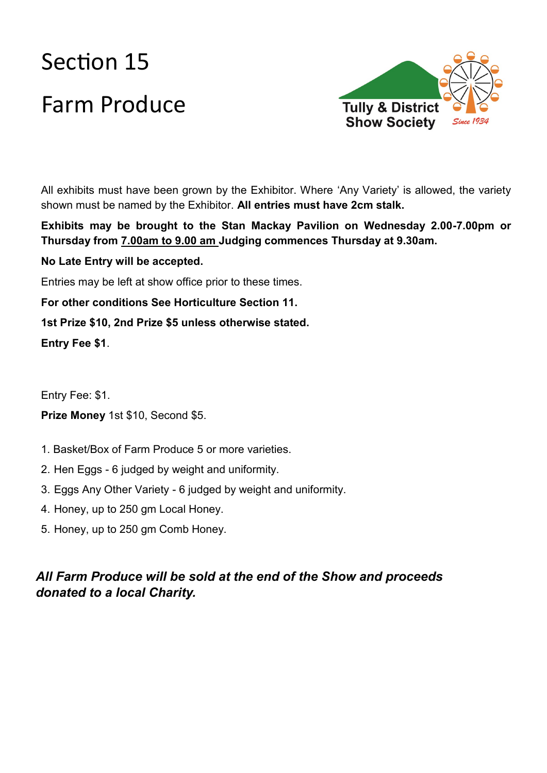# Section 15 Farm Produce



All exhibits must have been grown by the Exhibitor. Where 'Any Variety' is allowed, the variety shown must be named by the Exhibitor. **All entries must have 2cm stalk.**

**Exhibits may be brought to the Stan Mackay Pavilion on Wednesday 2.00-7.00pm or Thursday from 7.00am to 9.00 am Judging commences Thursday at 9.30am.** 

### **No Late Entry will be accepted.**

Entries may be left at show office prior to these times.

**For other conditions See Horticulture Section 11.**

### **1st Prize \$10, 2nd Prize \$5 unless otherwise stated.**

**Entry Fee \$1**.

Entry Fee: \$1.

#### **Prize Money** 1st \$10, Second \$5.

- 1. Basket/Box of Farm Produce 5 or more varieties.
- 2. Hen Eggs 6 judged by weight and uniformity.
- 3. Eggs Any Other Variety 6 judged by weight and uniformity.
- 4. Honey, up to 250 gm Local Honey.
- 5. Honey, up to 250 gm Comb Honey.

## *All Farm Produce will be sold at the end of the Show and proceeds donated to a local Charity.*